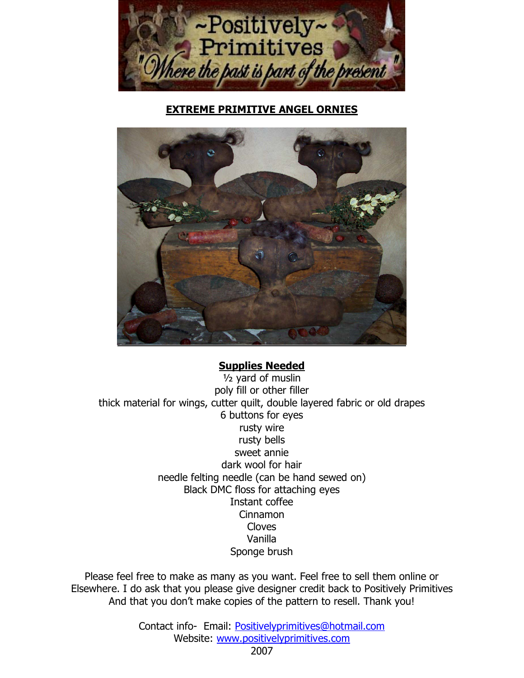

**EXTREME PRIMITIVE ANGEL ORNIES**



#### **Supplies Needed**

½ yard of muslin poly fill or other filler thick material for wings, cutter quilt, double layered fabric or old drapes 6 buttons for eyes rusty wire rusty bells sweet annie dark wool for hair needle felting needle (can be hand sewed on) Black DMC floss for attaching eyes Instant coffee Cinnamon Cloves Vanilla Sponge brush

Please feel free to make as many as you want. Feel free to sell them online or Elsewhere. I do ask that you please give designer credit back to Positively Primitives And that you don't make copies of the pattern to resell. Thank you!

> Contact info- Email: Positivelyprimitives@hotmail.com Website: www.positivelyprimitives.com

> > 2007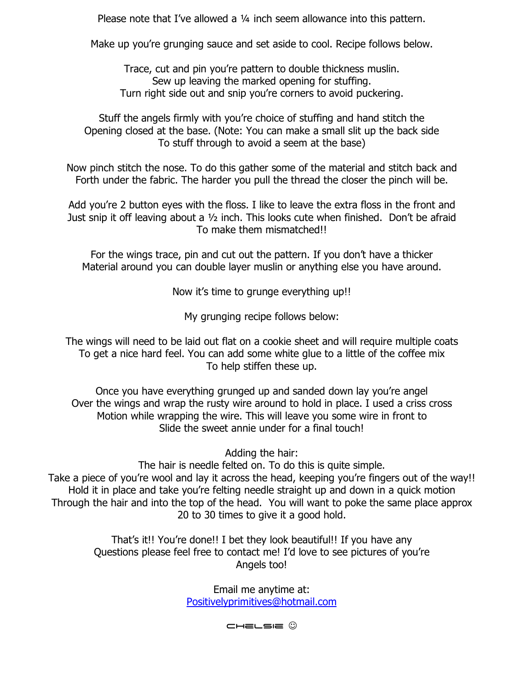Please note that I've allowed a 1/4 inch seem allowance into this pattern.

Make up youíre grunging sauce and set aside to cool. Recipe follows below.

Trace, cut and pin you're pattern to double thickness muslin. Sew up leaving the marked opening for stuffing. Turn right side out and snip you're corners to avoid puckering.

Stuff the angels firmly with you're choice of stuffing and hand stitch the Opening closed at the base. (Note: You can make a small slit up the back side To stuff through to avoid a seem at the base)

Now pinch stitch the nose. To do this gather some of the material and stitch back and Forth under the fabric. The harder you pull the thread the closer the pinch will be.

Add you're 2 button eyes with the floss. I like to leave the extra floss in the front and Just snip it off leaving about a 1/2 inch. This looks cute when finished. Don't be afraid To make them mismatched!!

For the wings trace, pin and cut out the pattern. If you don't have a thicker Material around you can double layer muslin or anything else you have around.

Now it's time to grunge everything up!!

My grunging recipe follows below:

The wings will need to be laid out flat on a cookie sheet and will require multiple coats To get a nice hard feel. You can add some white glue to a little of the coffee mix To help stiffen these up.

Once you have everything grunged up and sanded down lay you're angel Over the wings and wrap the rusty wire around to hold in place. I used a criss cross Motion while wrapping the wire. This will leave you some wire in front to Slide the sweet annie under for a final touch!

Adding the hair:

The hair is needle felted on. To do this is quite simple. Take a piece of you're wool and lay it across the head, keeping you're fingers out of the way!! Hold it in place and take you're felting needle straight up and down in a quick motion Through the hair and into the top of the head. You will want to poke the same place approx 20 to 30 times to give it a good hold.

> That's it!! You're done!! I bet they look beautiful!! If you have any Questions please feel free to contact me! I'd love to see pictures of you're Angels too!

> > Email me anytime at: Positivelyprimitives@hotmail.com

> > > Chelsie ☺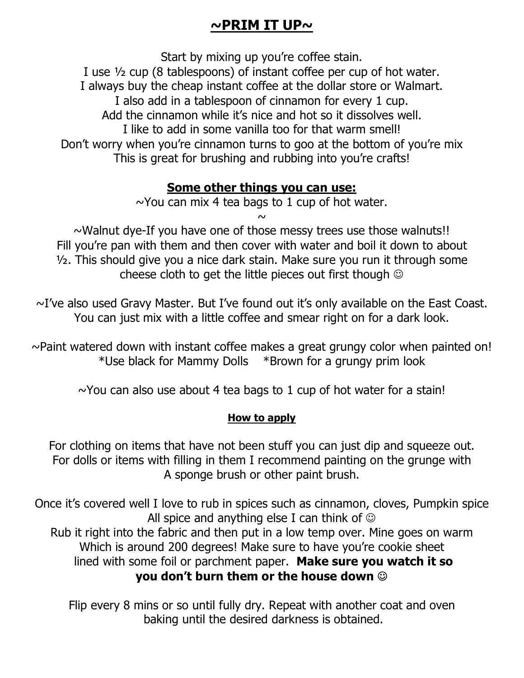# **~PRIM IT UP~**

Start by mixing up you're coffee stain.

I use ½ cup (8 tablespoons) of instant coffee per cup of hot water.

I always buy the cheap instant coffee at the dollar store or Walmart.

I also add in a tablespoon of cinnamon for every 1 cup.

Add the cinnamon while it's nice and hot so it dissolves well.

I like to add in some vanilla too for that warm smell!

Don't worry when you're cinnamon turns to goo at the bottom of you're mix This is great for brushing and rubbing into you're crafts!

## **Some other things you can use:**

 $\sim$ You can mix 4 tea bags to 1 cup of hot water.

 $\sim$ 

 $\sim$ Walnut dye-If you have one of those messy trees use those walnuts!! Fill you're pan with them and then cover with water and boil it down to about ½. This should give you a nice dark stain. Make sure you run it through some cheese cloth to get the little pieces out first though  $\odot$ 

 $\sim$ I've also used Gravy Master. But I've found out it's only available on the East Coast. You can just mix with a little coffee and smear right on for a dark look.

 $\sim$ Paint watered down with instant coffee makes a great grungy color when painted on! \*Use black for Mammy Dolls \*Brown for a grungy prim look

 $\sim$ You can also use about 4 tea bags to 1 cup of hot water for a stain!

### **How to apply**

For clothing on items that have not been stuff you can just dip and squeeze out. For dolls or items with filling in them I recommend painting on the grunge with A sponge brush or other paint brush.

Once it's covered well I love to rub in spices such as cinnamon, cloves, Pumpkin spice All spice and anything else I can think of  $\odot$ Rub it right into the fabric and then put in a low temp over. Mine goes on warm Which is around 200 degrees! Make sure to have you're cookie sheet lined with some foil or parchment paper. **Make sure you watch it so you donít burn them or the house down** ☺

Flip every 8 mins or so until fully dry. Repeat with another coat and oven baking until the desired darkness is obtained.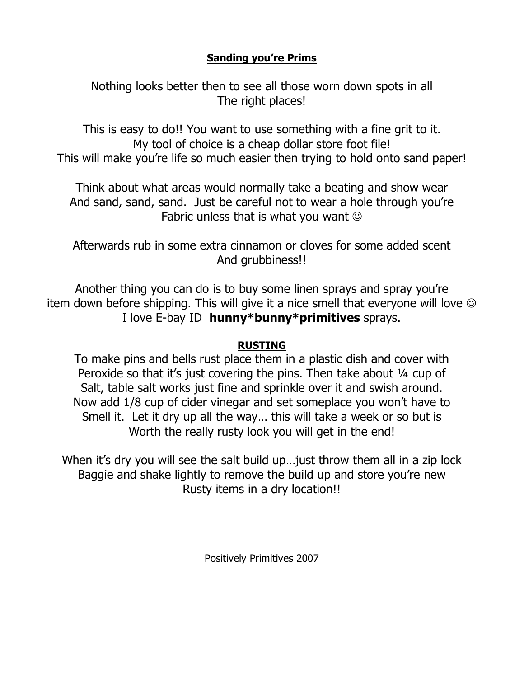#### **Sanding youíre Prims**

Nothing looks better then to see all those worn down spots in all The right places!

This is easy to do!! You want to use something with a fine grit to it. My tool of choice is a cheap dollar store foot file! This will make you're life so much easier then trying to hold onto sand paper!

Think about what areas would normally take a beating and show wear And sand, sand, sand. Just be careful not to wear a hole through you're Fabric unless that is what you want  $\odot$ 

Afterwards rub in some extra cinnamon or cloves for some added scent And grubbiness!!

Another thing you can do is to buy some linen sprays and spray you're item down before shipping. This will give it a nice smell that everyone will love  $\odot$ I love E-bay ID **hunny\*bunny\*primitives** sprays.

#### **RUSTING**

To make pins and bells rust place them in a plastic dish and cover with Peroxide so that it's just covering the pins. Then take about  $\frac{1}{4}$  cup of Salt, table salt works just fine and sprinkle over it and swish around. Now add 1/8 cup of cider vinegar and set someplace you won't have to Smell it. Let it dry up all the way... this will take a week or so but is Worth the really rusty look you will get in the end!

When it's dry you will see the salt build up... just throw them all in a zip lock Baggie and shake lightly to remove the build up and store you're new Rusty items in a dry location!!

Positively Primitives 2007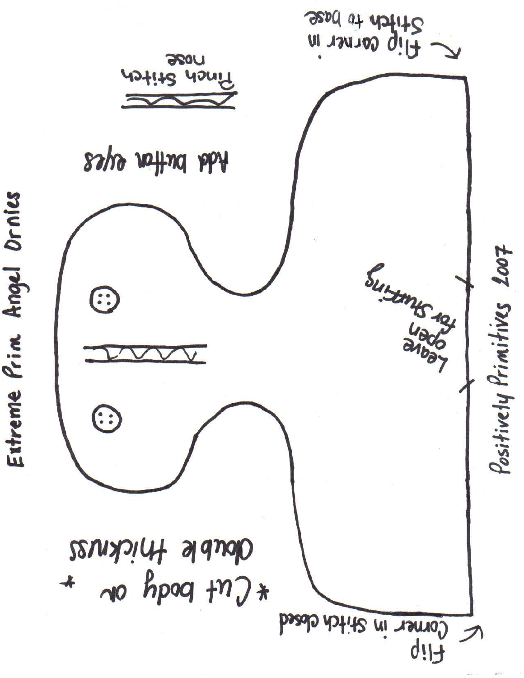